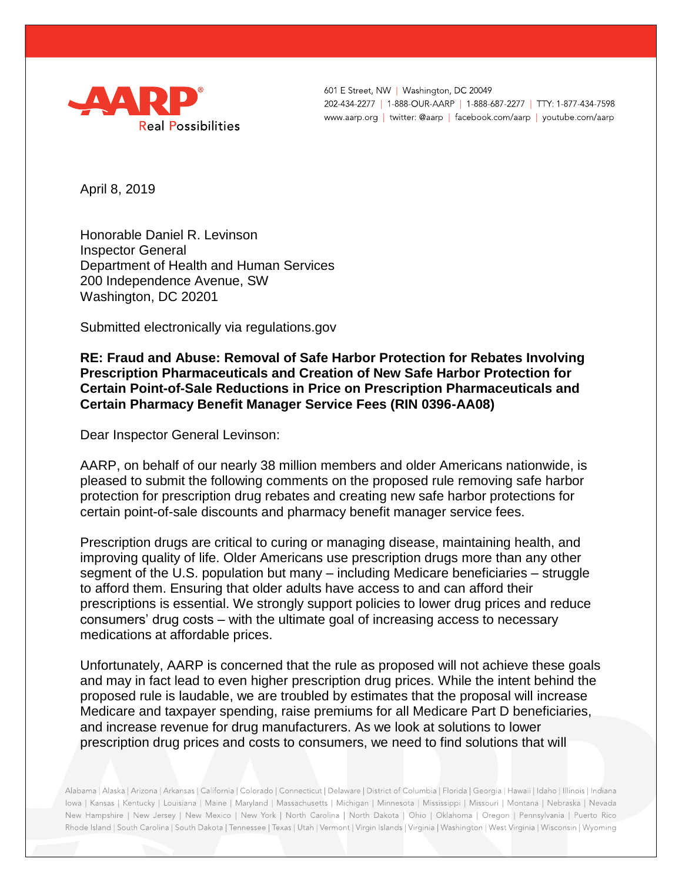

601 E Street, NW | Washington, DC 20049 202-434-2277 | 1-888-OUR-AARP | 1-888-687-2277 | TTY: 1-877-434-7598 www.aarp.org | twitter: @aarp | facebook.com/aarp | youtube.com/aarp

April 8, 2019

Honorable Daniel R. Levinson Inspector General Department of Health and Human Services 200 Independence Avenue, SW Washington, DC 20201

Submitted electronically via regulations.gov

**RE: Fraud and Abuse: Removal of Safe Harbor Protection for Rebates Involving Prescription Pharmaceuticals and Creation of New Safe Harbor Protection for Certain Point-of-Sale Reductions in Price on Prescription Pharmaceuticals and Certain Pharmacy Benefit Manager Service Fees (RIN 0396-AA08)**

Dear Inspector General Levinson:

AARP, on behalf of our nearly 38 million members and older Americans nationwide, is pleased to submit the following comments on the proposed rule removing safe harbor protection for prescription drug rebates and creating new safe harbor protections for certain point-of-sale discounts and pharmacy benefit manager service fees.

Prescription drugs are critical to curing or managing disease, maintaining health, and improving quality of life. Older Americans use prescription drugs more than any other segment of the U.S. population but many – including Medicare beneficiaries – struggle to afford them. Ensuring that older adults have access to and can afford their prescriptions is essential. We strongly support policies to lower drug prices and reduce consumers' drug costs – with the ultimate goal of increasing access to necessary medications at affordable prices.

Unfortunately, AARP is concerned that the rule as proposed will not achieve these goals and may in fact lead to even higher prescription drug prices. While the intent behind the proposed rule is laudable, we are troubled by estimates that the proposal will increase Medicare and taxpayer spending, raise premiums for all Medicare Part D beneficiaries, and increase revenue for drug manufacturers. As we look at solutions to lower prescription drug prices and costs to consumers, we need to find solutions that will

Alabama | Alaska | Arizona | Arkansas | California | Colorado | Connecticut | Delaware | District of Columbia | Florida | Georgia | Hawaii | Idaho | Illinois | Indiana Iowa | Kansas | Kentucky | Louisiana | Maine | Maryland | Massachusetts | Michigan | Minnesota | Mississippi | Missouri | Montana | Nebraska | Nevada New Hampshire | New Jersey | New Mexico | New York | North Carolina | North Dakota | Ohio | Oklahoma | Oregon | Pennsylvania | Puerto Rico Rhode Island | South Carolina | South Dakota | Tennessee | Texas | Utah | Vermont | Virgin Islands | Virginia | Washington | West Virginia | Wisconsin | Wyoming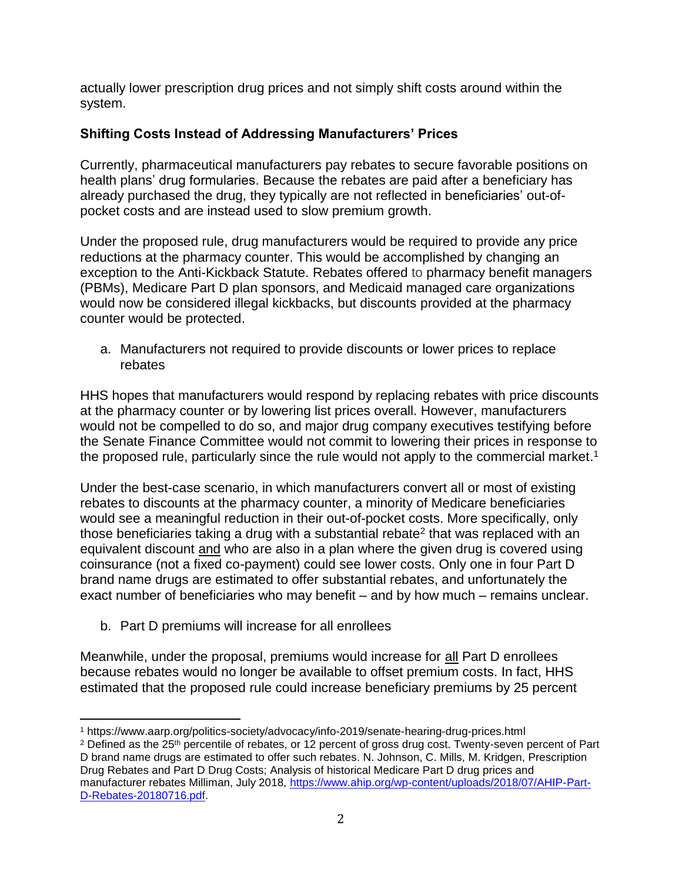actually lower prescription drug prices and not simply shift costs around within the system.

## **Shifting Costs Instead of Addressing Manufacturers' Prices**

Currently, pharmaceutical manufacturers pay rebates to secure favorable positions on health plans' drug formularies. Because the rebates are paid after a beneficiary has already purchased the drug, they typically are not reflected in beneficiaries' out-ofpocket costs and are instead used to slow premium growth.

Under the proposed rule, drug manufacturers would be required to provide any price reductions at the pharmacy counter. This would be accomplished by changing an exception to the Anti-Kickback Statute. Rebates offered to pharmacy benefit managers (PBMs), Medicare Part D plan sponsors, and Medicaid managed care organizations would now be considered illegal kickbacks, but discounts provided at the pharmacy counter would be protected.

a. Manufacturers not required to provide discounts or lower prices to replace rebates

HHS hopes that manufacturers would respond by replacing rebates with price discounts at the pharmacy counter or by lowering list prices overall. However, manufacturers would not be compelled to do so, and major drug company executives testifying before the Senate Finance Committee would not commit to lowering their prices in response to the proposed rule, particularly since the rule would not apply to the commercial market.<sup>1</sup>

Under the best-case scenario, in which manufacturers convert all or most of existing rebates to discounts at the pharmacy counter, a minority of Medicare beneficiaries would see a meaningful reduction in their out-of-pocket costs. More specifically, only those beneficiaries taking a drug with a substantial rebate<sup>2</sup> that was replaced with an equivalent discount and who are also in a plan where the given drug is covered using coinsurance (not a fixed co-payment) could see lower costs. Only one in four Part D brand name drugs are estimated to offer substantial rebates, and unfortunately the exact number of beneficiaries who may benefit – and by how much – remains unclear.

b. Part D premiums will increase for all enrollees

Meanwhile, under the proposal, premiums would increase for all Part D enrollees because rebates would no longer be available to offset premium costs. In fact, HHS estimated that the proposed rule could increase beneficiary premiums by 25 percent

 $\overline{\phantom{a}}$ <sup>1</sup> https://www.aarp.org/politics-society/advocacy/info-2019/senate-hearing-drug-prices.html

<sup>&</sup>lt;sup>2</sup> Defined as the 25<sup>th</sup> percentile of rebates, or 12 percent of gross drug cost. Twenty-seven percent of Part D brand name drugs are estimated to offer such rebates. N. Johnson, C. Mills, M. Kridgen, Prescription Drug Rebates and Part D Drug Costs; Analysis of historical Medicare Part D drug prices and manufacturer rebates Milliman, July 2018, [https://www.ahip.org/wp-content/uploads/2018/07/AHIP-Part-](https://www.ahip.org/wp-content/uploads/2018/07/AHIP-Part-D-Rebates-20180716.pdf)[D-Rebates-20180716.pdf.](https://www.ahip.org/wp-content/uploads/2018/07/AHIP-Part-D-Rebates-20180716.pdf)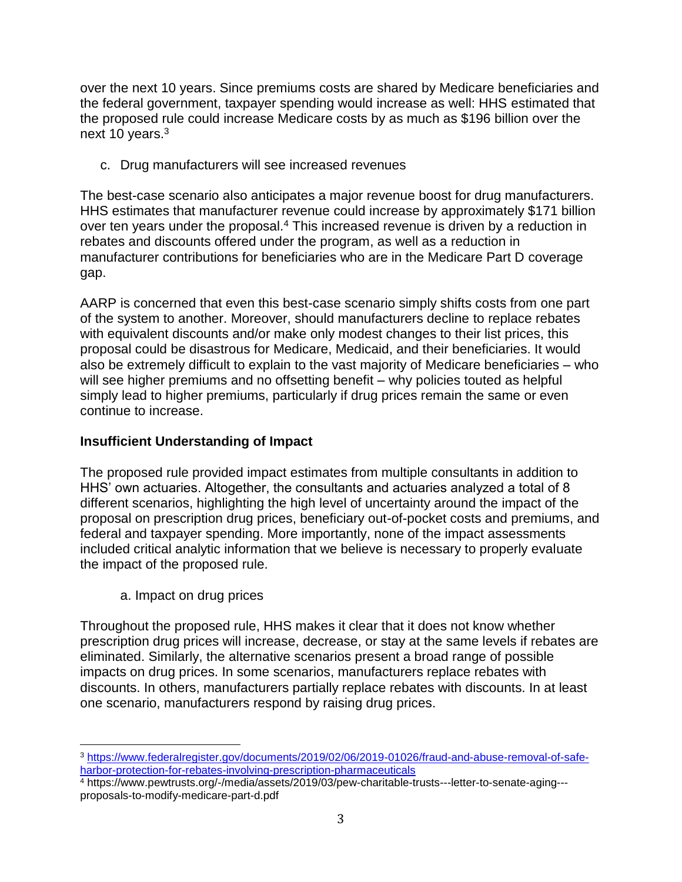over the next 10 years. Since premiums costs are shared by Medicare beneficiaries and the federal government, taxpayer spending would increase as well: HHS estimated that the proposed rule could increase Medicare costs by as much as \$196 billion over the next 10 years. $3$ 

c. Drug manufacturers will see increased revenues

The best-case scenario also anticipates a major revenue boost for drug manufacturers. HHS estimates that manufacturer revenue could increase by approximately \$171 billion over ten years under the proposal.<sup>4</sup> This increased revenue is driven by a reduction in rebates and discounts offered under the program, as well as a reduction in manufacturer contributions for beneficiaries who are in the Medicare Part D coverage gap.

AARP is concerned that even this best-case scenario simply shifts costs from one part of the system to another. Moreover, should manufacturers decline to replace rebates with equivalent discounts and/or make only modest changes to their list prices, this proposal could be disastrous for Medicare, Medicaid, and their beneficiaries. It would also be extremely difficult to explain to the vast majority of Medicare beneficiaries – who will see higher premiums and no offsetting benefit – why policies touted as helpful simply lead to higher premiums, particularly if drug prices remain the same or even continue to increase.

## **Insufficient Understanding of Impact**

The proposed rule provided impact estimates from multiple consultants in addition to HHS' own actuaries. Altogether, the consultants and actuaries analyzed a total of 8 different scenarios, highlighting the high level of uncertainty around the impact of the proposal on prescription drug prices, beneficiary out-of-pocket costs and premiums, and federal and taxpayer spending. More importantly, none of the impact assessments included critical analytic information that we believe is necessary to properly evaluate the impact of the proposed rule.

a. Impact on drug prices

 $\overline{\phantom{a}}$ 

Throughout the proposed rule, HHS makes it clear that it does not know whether prescription drug prices will increase, decrease, or stay at the same levels if rebates are eliminated. Similarly, the alternative scenarios present a broad range of possible impacts on drug prices. In some scenarios, manufacturers replace rebates with discounts. In others, manufacturers partially replace rebates with discounts. In at least one scenario, manufacturers respond by raising drug prices.

<sup>3</sup> [https://www.federalregister.gov/documents/2019/02/06/2019-01026/fraud-and-abuse-removal-of-safe](https://www.federalregister.gov/documents/2019/02/06/2019-01026/fraud-and-abuse-removal-of-safe-harbor-protection-for-rebates-involving-prescription-pharmaceuticals)[harbor-protection-for-rebates-involving-prescription-pharmaceuticals](https://www.federalregister.gov/documents/2019/02/06/2019-01026/fraud-and-abuse-removal-of-safe-harbor-protection-for-rebates-involving-prescription-pharmaceuticals)

<sup>4</sup> https://www.pewtrusts.org/-/media/assets/2019/03/pew-charitable-trusts---letter-to-senate-aging-- proposals-to-modify-medicare-part-d.pdf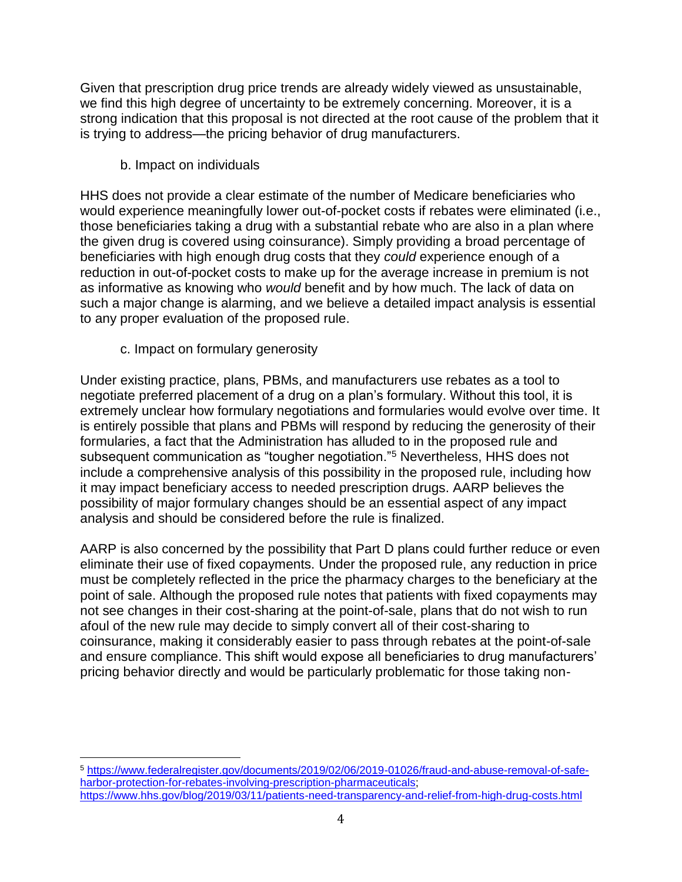Given that prescription drug price trends are already widely viewed as unsustainable, we find this high degree of uncertainty to be extremely concerning. Moreover, it is a strong indication that this proposal is not directed at the root cause of the problem that it is trying to address—the pricing behavior of drug manufacturers.

b. Impact on individuals

HHS does not provide a clear estimate of the number of Medicare beneficiaries who would experience meaningfully lower out-of-pocket costs if rebates were eliminated (i.e., those beneficiaries taking a drug with a substantial rebate who are also in a plan where the given drug is covered using coinsurance). Simply providing a broad percentage of beneficiaries with high enough drug costs that they *could* experience enough of a reduction in out-of-pocket costs to make up for the average increase in premium is not as informative as knowing who *would* benefit and by how much. The lack of data on such a major change is alarming, and we believe a detailed impact analysis is essential to any proper evaluation of the proposed rule.

c. Impact on formulary generosity

 $\overline{\phantom{a}}$ 

Under existing practice, plans, PBMs, and manufacturers use rebates as a tool to negotiate preferred placement of a drug on a plan's formulary. Without this tool, it is extremely unclear how formulary negotiations and formularies would evolve over time. It is entirely possible that plans and PBMs will respond by reducing the generosity of their formularies, a fact that the Administration has alluded to in the proposed rule and subsequent communication as "tougher negotiation."<sup>5</sup> Nevertheless, HHS does not include a comprehensive analysis of this possibility in the proposed rule, including how it may impact beneficiary access to needed prescription drugs. AARP believes the possibility of major formulary changes should be an essential aspect of any impact analysis and should be considered before the rule is finalized.

AARP is also concerned by the possibility that Part D plans could further reduce or even eliminate their use of fixed copayments. Under the proposed rule, any reduction in price must be completely reflected in the price the pharmacy charges to the beneficiary at the point of sale. Although the proposed rule notes that patients with fixed copayments may not see changes in their cost-sharing at the point-of-sale, plans that do not wish to run afoul of the new rule may decide to simply convert all of their cost-sharing to coinsurance, making it considerably easier to pass through rebates at the point-of-sale and ensure compliance. This shift would expose all beneficiaries to drug manufacturers' pricing behavior directly and would be particularly problematic for those taking non-

<sup>5</sup> [https://www.federalregister.gov/documents/2019/02/06/2019-01026/fraud-and-abuse-removal-of-safe](https://www.federalregister.gov/documents/2019/02/06/2019-01026/fraud-and-abuse-removal-of-safe-harbor-protection-for-rebates-involving-prescription-pharmaceuticals)[harbor-protection-for-rebates-involving-prescription-pharmaceuticals;](https://www.federalregister.gov/documents/2019/02/06/2019-01026/fraud-and-abuse-removal-of-safe-harbor-protection-for-rebates-involving-prescription-pharmaceuticals) <https://www.hhs.gov/blog/2019/03/11/patients-need-transparency-and-relief-from-high-drug-costs.html>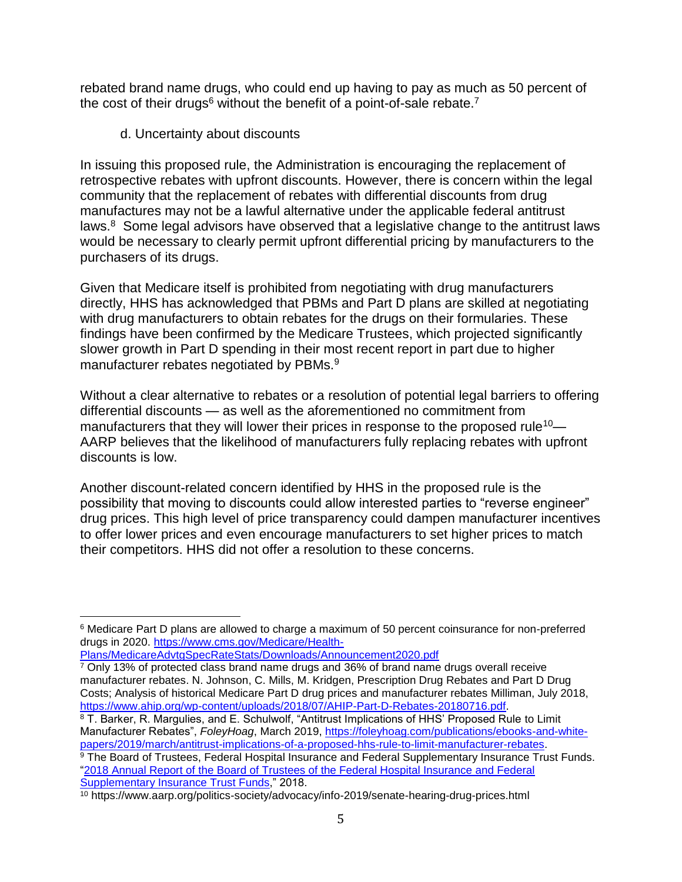rebated brand name drugs, who could end up having to pay as much as 50 percent of the cost of their drugs<sup>6</sup> without the benefit of a point-of-sale rebate.<sup>7</sup>

d. Uncertainty about discounts

In issuing this proposed rule, the Administration is encouraging the replacement of retrospective rebates with upfront discounts. However, there is concern within the legal community that the replacement of rebates with differential discounts from drug manufactures may not be a lawful alternative under the applicable federal antitrust laws. $8$  Some legal advisors have observed that a legislative change to the antitrust laws would be necessary to clearly permit upfront differential pricing by manufacturers to the purchasers of its drugs.

Given that Medicare itself is prohibited from negotiating with drug manufacturers directly, HHS has acknowledged that PBMs and Part D plans are skilled at negotiating with drug manufacturers to obtain rebates for the drugs on their formularies. These findings have been confirmed by the Medicare Trustees, which projected significantly slower growth in Part D spending in their most recent report in part due to higher manufacturer rebates negotiated by PBMs.<sup>9</sup>

Without a clear alternative to rebates or a resolution of potential legal barriers to offering differential discounts — as well as the aforementioned no commitment from manufacturers that they will lower their prices in response to the proposed rule<sup>10</sup>— AARP believes that the likelihood of manufacturers fully replacing rebates with upfront discounts is low.

Another discount-related concern identified by HHS in the proposed rule is the possibility that moving to discounts could allow interested parties to "reverse engineer" drug prices. This high level of price transparency could dampen manufacturer incentives to offer lower prices and even encourage manufacturers to set higher prices to match their competitors. HHS did not offer a resolution to these concerns.

[Plans/MedicareAdvtgSpecRateStats/Downloads/Announcement2020.pdf](https://www.cms.gov/Medicare/Health-Plans/MedicareAdvtgSpecRateStats/Downloads/Announcement2020.pdf)

l

8 T. Barker, R. Margulies, and E. Schulwolf, "Antitrust Implications of HHS' Proposed Rule to Limit Manufacturer Rebates", *FoleyHoag*, March 2019, [https://foleyhoag.com/publications/ebooks-and-white](https://foleyhoag.com/publications/ebooks-and-white-papers/2019/march/antitrust-implications-of-a-proposed-hhs-rule-to-limit-manufacturer-rebates)[papers/2019/march/antitrust-implications-of-a-proposed-hhs-rule-to-limit-manufacturer-rebates.](https://foleyhoag.com/publications/ebooks-and-white-papers/2019/march/antitrust-implications-of-a-proposed-hhs-rule-to-limit-manufacturer-rebates) <sup>9</sup> The Board of Trustees, Federal Hospital Insurance and Federal Supplementary Insurance Trust Funds.

["2018 Annual Report of the Board of Trustees of the Federal Hospital Insurance and Federal](https://www.cms.gov/Research-Statistics-Data-and-Systems/Statistics-Trends-and-Reports/ReportsTrustFunds/Downloads/TR2018.pdf)  [Supplementary Insurance Trust Funds,](https://www.cms.gov/Research-Statistics-Data-and-Systems/Statistics-Trends-and-Reports/ReportsTrustFunds/Downloads/TR2018.pdf)" 2018.

<sup>6</sup> Medicare Part D plans are allowed to charge a maximum of 50 percent coinsurance for non-preferred drugs in 2020. [https://www.cms.gov/Medicare/Health-](https://www.cms.gov/Medicare/Health-Plans/MedicareAdvtgSpecRateStats/Downloads/Announcement2020.pdf)

 $7$  Only 13% of protected class brand name drugs and 36% of brand name drugs overall receive manufacturer rebates. N. Johnson, C. Mills, M. Kridgen, Prescription Drug Rebates and Part D Drug Costs; Analysis of historical Medicare Part D drug prices and manufacturer rebates Milliman, July 2018, [https://www.ahip.org/wp-content/uploads/2018/07/AHIP-Part-D-Rebates-20180716.pdf.](https://www.ahip.org/wp-content/uploads/2018/07/AHIP-Part-D-Rebates-20180716.pdf)

<sup>10</sup> https://www.aarp.org/politics-society/advocacy/info-2019/senate-hearing-drug-prices.html